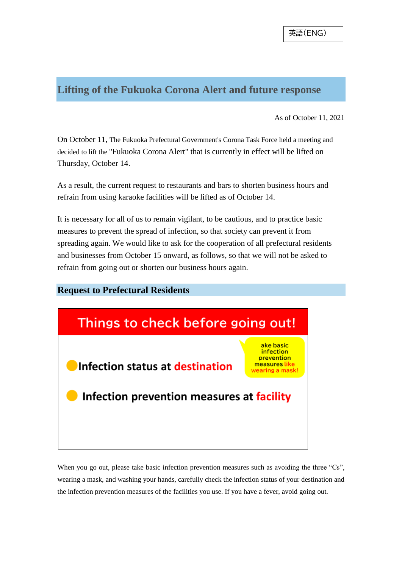#### **Lifting of the Fukuoka Corona Alert and future response**

As of October 11, 2021

On October 11, The Fukuoka Prefectural Government's Corona Task Force held a meeting and decided to lift the "Fukuoka Corona Alert" that is currently in effect will be lifted on Thursday, October 14.

As a result, the current request to restaurants and bars to shorten business hours and refrain from using karaoke facilities will be lifted as of October 14.

It is necessary for all of us to remain vigilant, to be cautious, and to practice basic measures to prevent the spread of infection, so that society can prevent it from spreading again. We would like to ask for the cooperation of all prefectural residents and businesses from October 15 onward, as follows, so that we will not be asked to refrain from going out or shorten our business hours again.

#### **Request to Prefectural Residents**



When you go out, please take basic infection prevention measures such as avoiding the three "Cs", wearing a mask, and washing your hands, carefully check the infection status of your destination and the infection prevention measures of the facilities you use. If you have a fever, avoid going out.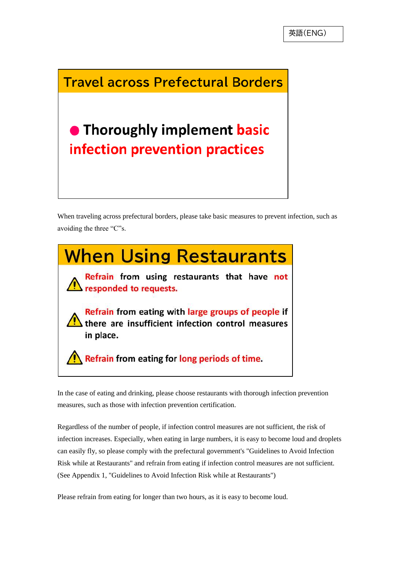### **Travel across Prefectural Borders**

# • Thoroughly implement basic infection prevention practices

When traveling across prefectural borders, please take basic measures to prevent infection, such as avoiding the three "C"s.



In the case of eating and drinking, please choose restaurants with thorough infection prevention measures, such as those with infection prevention certification.

Regardless of the number of people, if infection control measures are not sufficient, the risk of infection increases. Especially, when eating in large numbers, it is easy to become loud and droplets can easily fly, so please comply with the prefectural government's "Guidelines to Avoid Infection Risk while at Restaurants" and refrain from eating if infection control measures are not sufficient. (See Appendix 1, "Guidelines to Avoid Infection Risk while at Restaurants")

Please refrain from eating for longer than two hours, as it is easy to become loud.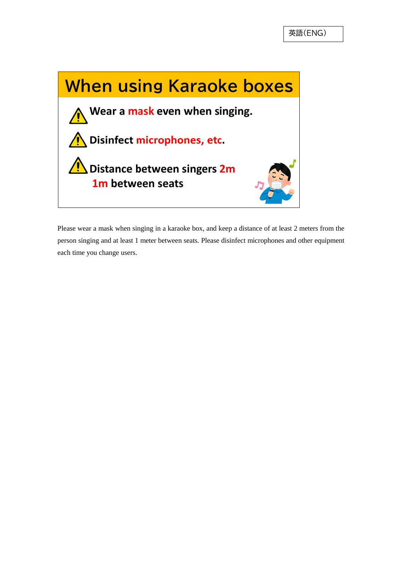

Please wear a mask when singing in a karaoke box, and keep a distance of at least 2 meters from the person singing and at least 1 meter between seats. Please disinfect microphones and other equipment each time you change users.